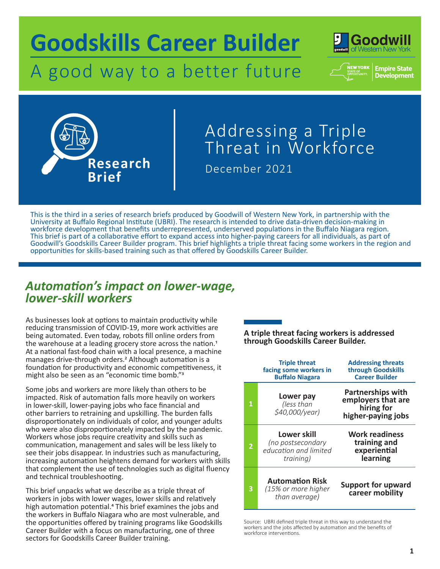# A good way to a better future **Goodskills Career Builder**







# December 2021 Addressing a Triple Threat in Workforce

This is the third in a series of research briefs produced by Goodwill of Western New York, in partnership with the University at Buffalo Regional Institute (UBRI). The research is intended to drive data-driven decision-making in workforce development that benefits underrepresented, underserved populations in the Buffalo Niagara region. This brief is part of a collaborative effort to expand access into higher-paying careers for all individuals, as part of Goodwill's Goodskills Career Builder program. This brief highlights a triple threat facing some workers in the region and opportunities for skills-based training such as that offered by Goodskills Career Builder.

# *Automation's impact on lower-wage, lower-skill workers*

As businesses look at options to maintain productivity while reducing transmission of COVID-19, more work activities are being automated. Even today, robots fill online orders from<br>the warehouse at a leading grocery store across the nation.<sup>1</sup> At a national fast-food chain with a local presence, a machine manages drive-through orders.2 Although automation is a foundation for productivity and economic competitiveness, it might also be seen as an "economic time bomb."3

Some jobs and workers are more likely than others to be impacted. Risk of automation falls more heavily on workers in lower-skill, lower-paying jobs who face financial and other barriers to retraining and upskilling. The burden falls disproportionately on individuals of color, and younger adults who were also disproportionately impacted by the pandemic. Workers whose jobs require creativity and skills such as communication, management and sales will be less likely to see their jobs disappear. In industries such as manufacturing, increasing automation heightens demand for workers with skills that complement the use of technologies such as digital fluency and technical troubleshooting.

This brief unpacks what we describe as a triple threat of workers in jobs with lower wages, lower skills and relatively high automation potential.<sup>4</sup> This brief examines the jobs and the workers in Buffalo Niagara who are most vulnerable, and the opportunities offered by training programs like Goodskills Career Builder with a focus on manufacturing, one of three sectors for Goodskills Career Builder training.

### **A triple threat facing workers is addressed through Goodskills Career Builder.**

|  |                | <b>Triple threat</b><br>facing some workers in<br><b>Buffalo Niagara</b> | <b>Addressing threats</b><br>through Goodskills<br><b>Career Builder</b>           |
|--|----------------|--------------------------------------------------------------------------|------------------------------------------------------------------------------------|
|  | $\mathbf{1}$   | Lower pay<br>(less than<br>\$40,000/year)                                | <b>Partnerships with</b><br>employers that are<br>hiring for<br>higher-paying jobs |
|  | $\overline{2}$ | Lower skill<br>(no postsecondary<br>education and limited<br>training)   | <b>Work readiness</b><br>training and<br>experiential<br>learning                  |
|  | 3              | <b>Automation Risk</b><br>(15% or more higher<br>than average)           | <b>Support for upward</b><br>career mobility                                       |

Source: UBRI defined triple threat in this way to understand the workers and the jobs affected by automation and the benefits of workforce interventions.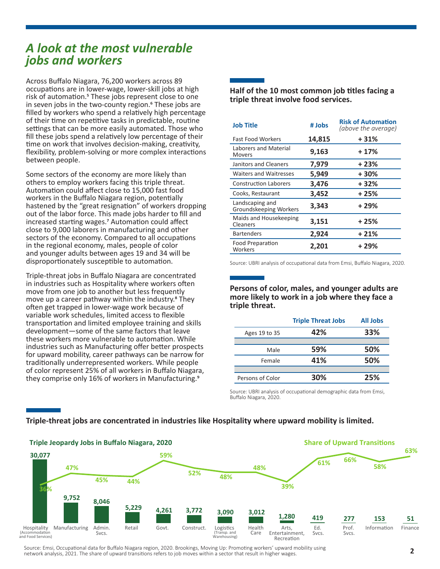### *A look at the most vulnerable jobs and workers*

Across Buffalo Niagara, 76,200 workers across 89 occupations are in lower-wage, lower-skill jobs at high risk of automation.<sup>5</sup> These jobs represent close to one in seven jobs in the two-county region.<sup>6</sup> These jobs are filled by workers who spend a relatively high percentage of their time on repetitive tasks in predictable, routine settings that can be more easily automated. Those who fill these jobs spend a relatively low percentage of their time on work that involves decision-making, creativity, flexibility, problem-solving or more complex interactions between people.

Some sectors of the economy are more likely than others to employ workers facing this triple threat. Automation could affect close to 15,000 fast food workers in the Buffalo Niagara region, potentially hastened by the "great resignation" of workers dropping out of the labor force. This made jobs harder to fill and increased starting wages.7 Automation could affect close to 9,000 laborers in manufacturing and other sectors of the economy. Compared to all occupations in the regional economy, males, people of color and younger adults between ages 19 and 34 will be disproportionately susceptible to automation.

Triple-threat jobs in Buffalo Niagara are concentrated in industries such as Hospitality where workers often move from one job to another but less frequently move up a career pathway within the industry.<sup>8</sup> They often get trapped in lower-wage work because of variable work schedules, limited access to flexible transportation and limited employee training and skills development—some of the same factors that leave these workers more vulnerable to automation. While industries such as Manufacturing offer better prospects for upward mobility, career pathways can be narrow for traditionally underrepresented workers. While people of color represent 25% of all workers in Buffalo Niagara, they comprise only 16% of workers in Manufacturing.<sup>9</sup>

**Half of the 10 most common job titles facing a triple threat involve food services.**

| <b>Job Title</b>                          | # Jobs | <b>Risk of Automation</b><br>(above the average) |  |
|-------------------------------------------|--------|--------------------------------------------------|--|
| <b>Fast Food Workers</b>                  | 14,815 | $+31%$                                           |  |
| Laborers and Material<br>Movers           | 9,163  | $+17%$                                           |  |
| Janitors and Cleaners                     | 7,979  | $+23%$                                           |  |
| <b>Waiters and Waitresses</b>             | 5,949  | $+30%$                                           |  |
| <b>Construction Laborers</b>              | 3,476  | $+32%$                                           |  |
| Cooks, Restaurant                         | 3,452  | $+25%$                                           |  |
| Landscaping and<br>Groundskeeping Workers | 3,343  | + 29%                                            |  |
| Maids and Housekeeping<br>Cleaners        | 3,151  | + 25%                                            |  |
| <b>Bartenders</b>                         | 2,924  | $+21%$                                           |  |
| Food Preparation<br>Workers               | 2,201  | $+29%$                                           |  |

Source: UBRI analysis of occupational data from Emsi, Buffalo Niagara, 2020.

**Persons of color, males, and younger adults are more likely to work in a job where they face a triple threat.**

|                  | <b>Triple Threat Jobs</b> | <b>All Jobs</b> |
|------------------|---------------------------|-----------------|
| Ages 19 to 35    | 42%                       | 33%             |
|                  |                           |                 |
| Male             | 59%                       | 50%             |
| Female           | 41%                       | 50%             |
|                  |                           |                 |
| Persons of Color | 30%                       | 25%             |

Source: UBRI analysis of occupational demographic data from Emsi, Buffalo Niagara, 2020.



**Triple-threat jobs are concentrated in industries like Hospitality where upward mobility is limited.**

Source: Emsi, Occupational data for Buffalo Niagara region, 2020. Brookings, Moving Up: Promoting workers' upward mobility using network analysis, 2021. The share of upward transitions refers to job moves within a sector that result in higher wages.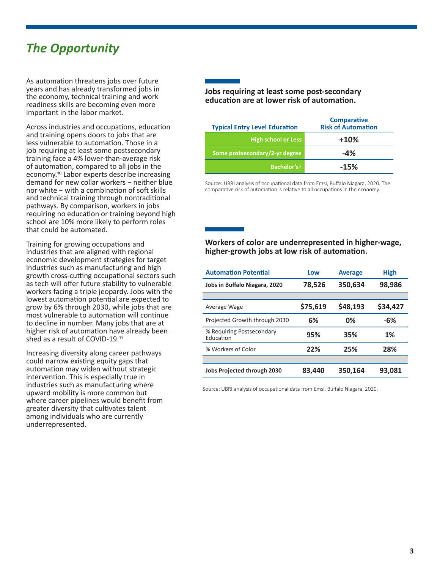# *The Opportunity*

As automation threatens jobs over future years and has already transformed jobs in the economy, technical training and work readiness skills are becoming even more important in the labor market.

Across industries and occupations, education and training opens doors to jobs that are less vulnerable to automation. Those in a job requiring at least some postsecondary training face a 4% lower-than-average risk of automation, compared to all jobs in the economy.<sup>10</sup> Labor experts describe increasing demand for new collar workers − neither blue nor white − with a combination of soft skills and technical training through nontraditional pathways. By comparison, workers in jobs requiring no education or training beyond high school are 10% more likely to perform roles that could be automated.

Training for growing occupations and industries that are aligned with regional economic development strategies for target industries such as manufacturing and high growth cross-cutting occupational sectors such as tech will offer future stability to vulnerable workers facing a triple jeopardy. Jobs with the lowest automation potential are expected to grow by 6% through 2030, while jobs that are most vulnerable to automation will continue to decline in number. Many jobs that are at higher risk of automation have already been shed as a result of COVID-19.11

Increasing diversity along career pathways could narrow existing equity gaps that automation may widen without strategic intervention. This is especially true in industries such as manufacturing where upward mobility is more common but where career pipelines would benefit from greater diversity that cultivates talent among individuals who are currently underrepresented.

#### **Jobs requiring at least some post-secondary education are at lower risk of automation.**

| <b>Typical Entry Level Education</b> | <b>Comparative</b><br><b>Risk of Automation</b> |
|--------------------------------------|-------------------------------------------------|
| <b>High school or Less</b>           | $+10%$                                          |
| Some postsecondary/2-yr degree       | $-4%$                                           |
| Bachelor's+                          | $-15%$                                          |

 Source: UBRI analysis of occupational data from Emsi, Buffalo Niagara, 2020. The comparative risk of automation is relative to all occupations in the economy.

#### **Workers of color are underrepresented in higher-wage, higher-growth jobs at low risk of automation.**

| <b>Automation Potential</b>            | Low      | <b>Average</b> | <b>High</b> |
|----------------------------------------|----------|----------------|-------------|
| Jobs in Buffalo Niagara, 2020          | 78,526   | 350,634        | 98,986      |
|                                        |          |                |             |
| Average Wage                           | \$75,619 | \$48,193       | \$34,427    |
| Projected Growth through 2030          | 6%       | 0%             | $-6%$       |
| % Requiring Postsecondary<br>Education | 95%      | 35%            | 1%          |
| % Workers of Color                     | 22%      | 25%            | 28%         |
|                                        |          |                |             |
| <b>Jobs Projected through 2030</b>     | 83,440   | 350,164        | 93,081      |

Source: UBRI analysis of occupational data from Emsi, Buffalo Niagara, 2020.